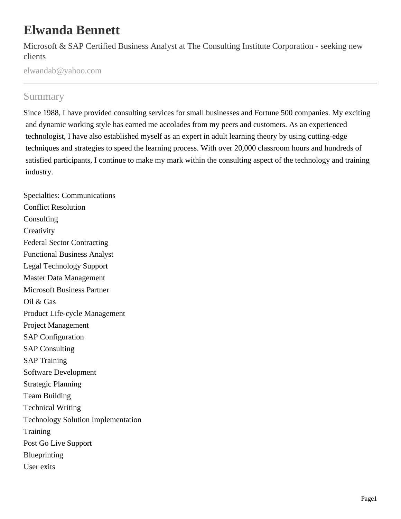# **Elwanda Bennett**

Microsoft & SAP Certified Business Analyst at The Consulting Institute Corporation - seeking new clients

elwandab@yahoo.com

# Summary

Since 1988, I have provided consulting services for small businesses and Fortune 500 companies. My exciting and dynamic working style has earned me accolades from my peers and customers. As an experienced technologist, I have also established myself as an expert in adult learning theory by using cutting-edge techniques and strategies to speed the learning process. With over 20,000 classroom hours and hundreds of satisfied participants, I continue to make my mark within the consulting aspect of the technology and training industry.

Specialties: Communications Conflict Resolution **Consulting Creativity** Federal Sector Contracting Functional Business Analyst Legal Technology Support Master Data Management Microsoft Business Partner Oil & Gas Product Life-cycle Management Project Management SAP Configuration SAP Consulting SAP Training Software Development Strategic Planning Team Building Technical Writing Technology Solution Implementation **Training** Post Go Live Support Blueprinting User exits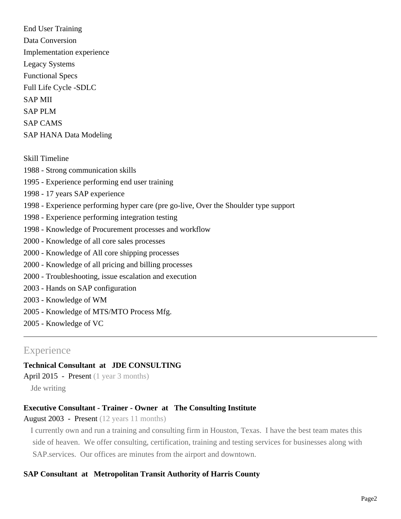End User Training Data Conversion Implementation experience Legacy Systems Functional Specs Full Life Cycle -SDLC SAP MII SAP PLM SAP CAMS SAP HANA Data Modeling

Skill Timeline 1988 - Strong communication skills 1995 - Experience performing end user training 1998 - 17 years SAP experience 1998 - Experience performing hyper care (pre go-live, Over the Shoulder type support 1998 - Experience performing integration testing 1998 - Knowledge of Procurement processes and workflow 2000 - Knowledge of all core sales processes 2000 - Knowledge of All core shipping processes 2000 - Knowledge of all pricing and billing processes 2000 - Troubleshooting, issue escalation and execution 2003 - Hands on SAP configuration 2003 - Knowledge of WM 2005 - Knowledge of MTS/MTO Process Mfg. 2005 - Knowledge of VC

# **Experience**

# **Technical Consultant at JDE CONSULTING**

April 2015 - Present (1 year 3 months)

Jde writing

# **Executive Consultant - Trainer - Owner at The Consulting Institute**

August 2003 - Present (12 years 11 months)

I currently own and run a training and consulting firm in Houston, Texas. I have the best team mates this side of heaven. We offer consulting, certification, training and testing services for businesses along with SAP.services. Our offices are minutes from the airport and downtown.

# **SAP Consultant at Metropolitan Transit Authority of Harris County**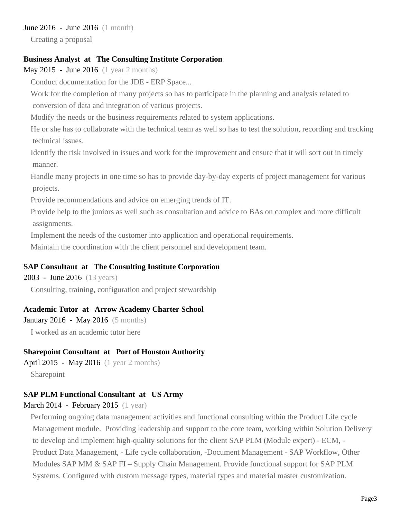#### June 2016 - June 2016 (1 month)

Creating a proposal

## **Business Analyst at The Consulting Institute Corporation**

May 2015 - June 2016 (1 year 2 months)

Conduct documentation for the JDE - ERP Space...

Work for the completion of many projects so has to participate in the planning and analysis related to conversion of data and integration of various projects.

Modify the needs or the business requirements related to system applications.

He or she has to collaborate with the technical team as well so has to test the solution, recording and tracking technical issues.

Identify the risk involved in issues and work for the improvement and ensure that it will sort out in timely manner.

Handle many projects in one time so has to provide day-by-day experts of project management for various projects.

Provide recommendations and advice on emerging trends of IT.

Provide help to the juniors as well such as consultation and advice to BAs on complex and more difficult assignments.

Implement the needs of the customer into application and operational requirements.

Maintain the coordination with the client personnel and development team.

#### **SAP Consultant at The Consulting Institute Corporation**

2003 - June 2016 (13 years)

Consulting, training, configuration and project stewardship

#### **Academic Tutor at Arrow Academy Charter School**

January 2016 - May 2016 (5 months)

I worked as an academic tutor here

#### **Sharepoint Consultant at Port of Houston Authority**

April 2015 - May 2016 (1 year 2 months) Sharepoint

# **SAP PLM Functional Consultant at US Army**

#### March 2014 - February 2015 (1 year)

Performing ongoing data management activities and functional consulting within the Product Life cycle Management module. Providing leadership and support to the core team, working within Solution Delivery to develop and implement high-quality solutions for the client SAP PLM (Module expert) - ECM, - Product Data Management, - Life cycle collaboration, -Document Management - SAP Workflow, Other Modules SAP MM & SAP FI – Supply Chain Management. Provide functional support for SAP PLM Systems. Configured with custom message types, material types and material master customization.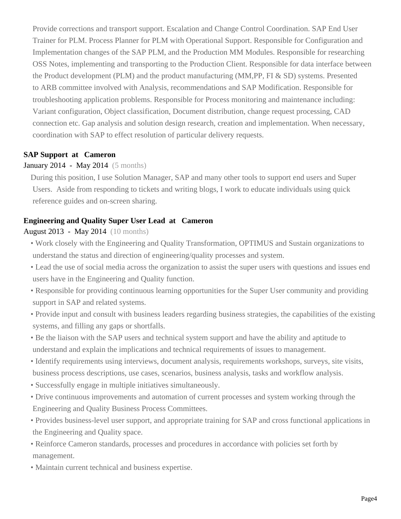Provide corrections and transport support. Escalation and Change Control Coordination. SAP End User Trainer for PLM. Process Planner for PLM with Operational Support. Responsible for Configuration and Implementation changes of the SAP PLM, and the Production MM Modules. Responsible for researching OSS Notes, implementing and transporting to the Production Client. Responsible for data interface between the Product development (PLM) and the product manufacturing (MM,PP, FI & SD) systems. Presented to ARB committee involved with Analysis, recommendations and SAP Modification. Responsible for troubleshooting application problems. Responsible for Process monitoring and maintenance including: Variant configuration, Object classification, Document distribution, change request processing, CAD connection etc. Gap analysis and solution design research, creation and implementation. When necessary, coordination with SAP to effect resolution of particular delivery requests.

# **SAP Support at Cameron**

#### January 2014 - May 2014 (5 months)

During this position, I use Solution Manager, SAP and many other tools to support end users and Super Users. Aside from responding to tickets and writing blogs, I work to educate individuals using quick reference guides and on-screen sharing.

#### **Engineering and Quality Super User Lead at Cameron**

#### August 2013 - May 2014 (10 months)

- Work closely with the Engineering and Quality Transformation, OPTIMUS and Sustain organizations to understand the status and direction of engineering/quality processes and system.
- Lead the use of social media across the organization to assist the super users with questions and issues end users have in the Engineering and Quality function.
- Responsible for providing continuous learning opportunities for the Super User community and providing support in SAP and related systems.
- Provide input and consult with business leaders regarding business strategies, the capabilities of the existing systems, and filling any gaps or shortfalls.
- Be the liaison with the SAP users and technical system support and have the ability and aptitude to understand and explain the implications and technical requirements of issues to management.
- Identify requirements using interviews, document analysis, requirements workshops, surveys, site visits, business process descriptions, use cases, scenarios, business analysis, tasks and workflow analysis.
- Successfully engage in multiple initiatives simultaneously.
- Drive continuous improvements and automation of current processes and system working through the Engineering and Quality Business Process Committees.
- Provides business-level user support, and appropriate training for SAP and cross functional applications in the Engineering and Quality space.
- Reinforce Cameron standards, processes and procedures in accordance with policies set forth by management.
- Maintain current technical and business expertise.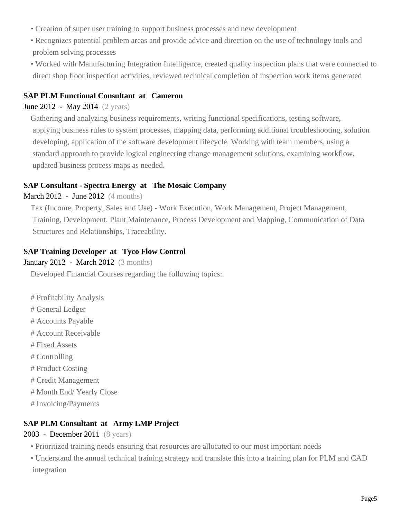- Creation of super user training to support business processes and new development
- Recognizes potential problem areas and provide advice and direction on the use of technology tools and problem solving processes
- Worked with Manufacturing Integration Intelligence, created quality inspection plans that were connected to direct shop floor inspection activities, reviewed technical completion of inspection work items generated

# **SAP PLM Functional Consultant at Cameron**

# June 2012 - May 2014 (2 years)

Gathering and analyzing business requirements, writing functional specifications, testing software, applying business rules to system processes, mapping data, performing additional troubleshooting, solution developing, application of the software development lifecycle. Working with team members, using a standard approach to provide logical engineering change management solutions, examining workflow, updated business process maps as needed.

## **SAP Consultant - Spectra Energy at The Mosaic Company**

## March 2012 - June 2012 (4 months)

Tax (Income, Property, Sales and Use) - Work Execution, Work Management, Project Management, Training, Development, Plant Maintenance, Process Development and Mapping, Communication of Data Structures and Relationships, Traceability.

# **SAP Training Developer at Tyco Flow Control**

#### January 2012 - March 2012 (3 months)

Developed Financial Courses regarding the following topics:

- # Profitability Analysis
- # General Ledger
- # Accounts Payable
- # Account Receivable
- # Fixed Assets
- # Controlling
- # Product Costing
- # Credit Management
- # Month End/ Yearly Close
- # Invoicing/Payments

# **SAP PLM Consultant at Army LMP Project**

#### 2003 - December 2011 (8 years)

- Prioritized training needs ensuring that resources are allocated to our most important needs
- Understand the annual technical training strategy and translate this into a training plan for PLM and CAD integration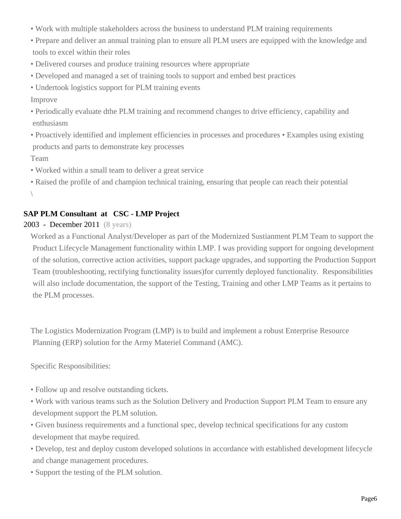- Work with multiple stakeholders across the business to understand PLM training requirements
- Prepare and deliver an annual training plan to ensure all PLM users are equipped with the knowledge and tools to excel within their roles
- Delivered courses and produce training resources where appropriate
- Developed and managed a set of training tools to support and embed best practices
- Undertook logistics support for PLM training events

Improve

- Periodically evaluate dthe PLM training and recommend changes to drive efficiency, capability and enthusiasm
- Proactively identified and implement efficiencies in processes and procedures Examples using existing products and parts to demonstrate key processes

Team

- Worked within a small team to deliver a great service
- Raised the profile of and champion technical training, ensuring that people can reach their potential  $\backslash$

# **SAP PLM Consultant at CSC - LMP Project**

# 2003 - December 2011 (8 years)

Worked as a Functional Analyst/Developer as part of the Modernized Sustianment PLM Team to support the Product Lifecycle Management functionality within LMP. I was providing support for ongoing development of the solution, corrective action activities, support package upgrades, and supporting the Production Support Team (troubleshooting, rectifying functionality issues)for currently deployed functionality. Responsibilities will also include documentation, the support of the Testing, Training and other LMP Teams as it pertains to the PLM processes.

The Logistics Modernization Program (LMP) is to build and implement a robust Enterprise Resource Planning (ERP) solution for the Army Materiel Command (AMC).

Specific Responsibilities:

- Follow up and resolve outstanding tickets.
- Work with various teams such as the Solution Delivery and Production Support PLM Team to ensure any development support the PLM solution.
- Given business requirements and a functional spec, develop technical specifications for any custom development that maybe required.
- Develop, test and deploy custom developed solutions in accordance with established development lifecycle and change management procedures.
- Support the testing of the PLM solution.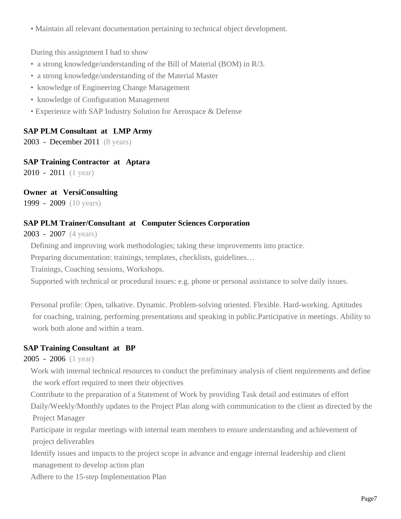• Maintain all relevant documentation pertaining to technical object development.

During this assignment I had to show

- a strong knowledge/understanding of the Bill of Material (BOM) in R/3.
- a strong knowledge/understanding of the Material Master
- knowledge of Engineering Change Management
- knowledge of Configuration Management
- Experience with SAP Industry Solution for Aerospace & Defense

# **SAP PLM Consultant at LMP Army**

2003 - December 2011 (8 years)

**SAP Training Contractor at Aptara**

2010 - 2011 (1 year)

# **Owner at VersiConsulting**

1999 - 2009 (10 years)

# **SAP PLM Trainer/Consultant at Computer Sciences Corporation**

2003 - 2007 (4 years)

Defining and improving work methodologies; taking these improvements into practice.

Preparing documentation: trainings, templates, checklists, guidelines…

Trainings, Coaching sessions, Workshops.

Supported with technical or procedural issues: e.g. phone or personal assistance to solve daily issues.

Personal profile: Open, talkative. Dynamic. Problem-solving oriented. Flexible. Hard-working. Aptitudes for coaching, training, performing presentations and speaking in public.Participative in meetings. Ability to work both alone and within a team.

# **SAP Training Consultant at BP**

#### 2005 - 2006 (1 year)

Work with internal technical resources to conduct the preliminary analysis of client requirements and define the work effort required to meet their objectives

Contribute to the preparation of a Statement of Work by providing Task detail and estimates of effort Daily/Weekly/Monthly updates to the Project Plan along with communication to the client as directed by the Project Manager

Participate in regular meetings with internal team members to ensure understanding and achievement of project deliverables

Identify issues and impacts to the project scope in advance and engage internal leadership and client management to develop action plan

Adhere to the 15-step Implementation Plan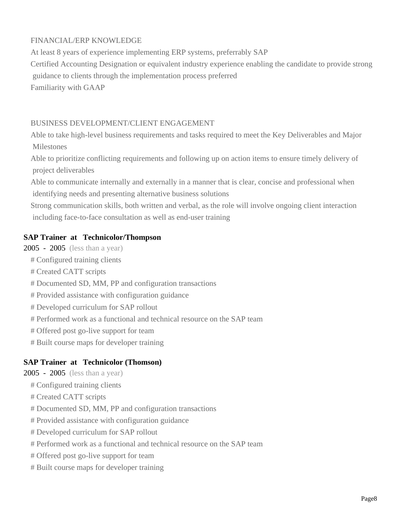# FINANCIAL/ERP KNOWLEDGE

At least 8 years of experience implementing ERP systems, preferrably SAP Certified Accounting Designation or equivalent industry experience enabling the candidate to provide strong guidance to clients through the implementation process preferred Familiarity with GAAP

#### BUSINESS DEVELOPMENT/CLIENT ENGAGEMENT

Able to take high-level business requirements and tasks required to meet the Key Deliverables and Major Milestones

Able to prioritize conflicting requirements and following up on action items to ensure timely delivery of project deliverables

Able to communicate internally and externally in a manner that is clear, concise and professional when identifying needs and presenting alternative business solutions

Strong communication skills, both written and verbal, as the role will involve ongoing client interaction including face-to-face consultation as well as end-user training

#### **SAP Trainer at Technicolor/Thompson**

2005 - 2005 (less than a year)

- # Configured training clients
- # Created CATT scripts
- # Documented SD, MM, PP and configuration transactions
- # Provided assistance with configuration guidance
- # Developed curriculum for SAP rollout
- # Performed work as a functional and technical resource on the SAP team
- # Offered post go-live support for team
- # Built course maps for developer training

#### **SAP Trainer at Technicolor (Thomson)**

2005 - 2005 (less than a year)

- # Configured training clients
- # Created CATT scripts
- # Documented SD, MM, PP and configuration transactions
- # Provided assistance with configuration guidance
- # Developed curriculum for SAP rollout
- # Performed work as a functional and technical resource on the SAP team
- # Offered post go-live support for team
- # Built course maps for developer training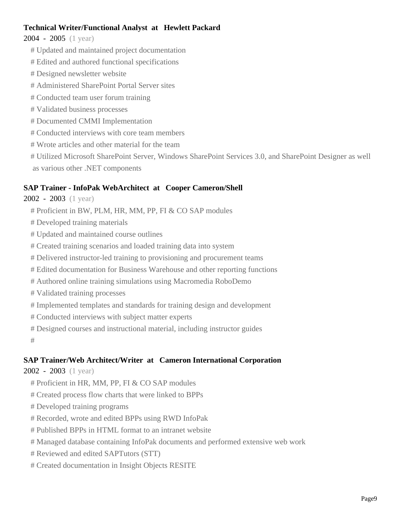# **Technical Writer/Functional Analyst at Hewlett Packard**

2004 - 2005 (1 year)

- # Updated and maintained project documentation
- # Edited and authored functional specifications
- # Designed newsletter website
- # Administered SharePoint Portal Server sites
- # Conducted team user forum training
- # Validated business processes
- # Documented CMMI Implementation
- # Conducted interviews with core team members
- # Wrote articles and other material for the team
- # Utilized Microsoft SharePoint Server, Windows SharePoint Services 3.0, and SharePoint Designer as well as various other .NET components

# **SAP Trainer - InfoPak WebArchitect at Cooper Cameron/Shell**

- 2002 2003 (1 year)
	- # Proficient in BW, PLM, HR, MM, PP, FI & CO SAP modules
	- # Developed training materials
	- # Updated and maintained course outlines
	- # Created training scenarios and loaded training data into system
	- # Delivered instructor-led training to provisioning and procurement teams
	- # Edited documentation for Business Warehouse and other reporting functions
	- # Authored online training simulations using Macromedia RoboDemo
	- # Validated training processes
	- # Implemented templates and standards for training design and development
	- # Conducted interviews with subject matter experts
	- # Designed courses and instructional material, including instructor guides

#

# **SAP Trainer/Web Architect/Writer at Cameron International Corporation**

# 2002 - 2003 (1 year)

- # Proficient in HR, MM, PP, FI & CO SAP modules
- # Created process flow charts that were linked to BPPs
- # Developed training programs
- # Recorded, wrote and edited BPPs using RWD InfoPak
- # Published BPPs in HTML format to an intranet website
- # Managed database containing InfoPak documents and performed extensive web work
- # Reviewed and edited SAPTutors (STT)
- # Created documentation in Insight Objects RESITE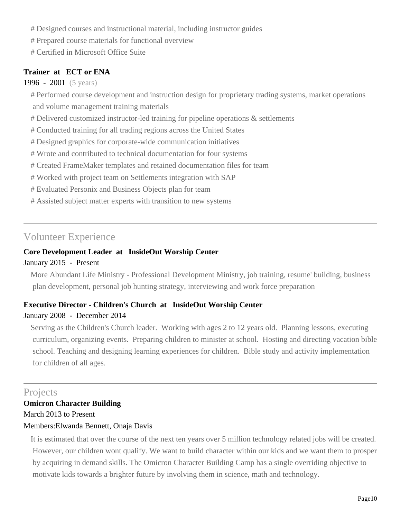- # Designed courses and instructional material, including instructor guides
- # Prepared course materials for functional overview
- # Certified in Microsoft Office Suite

# **Trainer at ECT or ENA**

#### 1996 - 2001 (5 years)

- # Performed course development and instruction design for proprietary trading systems, market operations and volume management training materials
- # Delivered customized instructor-led training for pipeline operations & settlements
- # Conducted training for all trading regions across the United States
- # Designed graphics for corporate-wide communication initiatives
- # Wrote and contributed to technical documentation for four systems
- # Created FrameMaker templates and retained documentation files for team
- # Worked with project team on Settlements integration with SAP
- # Evaluated Personix and Business Objects plan for team
- # Assisted subject matter experts with transition to new systems

# Volunteer Experience

# **Core Development Leader at InsideOut Worship Center**

#### January 2015 - Present

More Abundant Life Ministry - Professional Development Ministry, job training, resume' building, business plan development, personal job hunting strategy, interviewing and work force preparation

# **Executive Director - Children's Church at InsideOut Worship Center**

# January 2008 - December 2014

Serving as the Children's Church leader. Working with ages 2 to 12 years old. Planning lessons, executing curriculum, organizing events. Preparing children to minister at school. Hosting and directing vacation bible school. Teaching and designing learning experiences for children. Bible study and activity implementation for children of all ages.

# Projects

# **Omicron Character Building** March 2013 to Present

# Members:Elwanda Bennett, Onaja Davis

It is estimated that over the course of the next ten years over 5 million technology related jobs will be created. However, our children wont qualify. We want to build character within our kids and we want them to prosper by acquiring in demand skills. The Omicron Character Building Camp has a single overriding objective to motivate kids towards a brighter future by involving them in science, math and technology.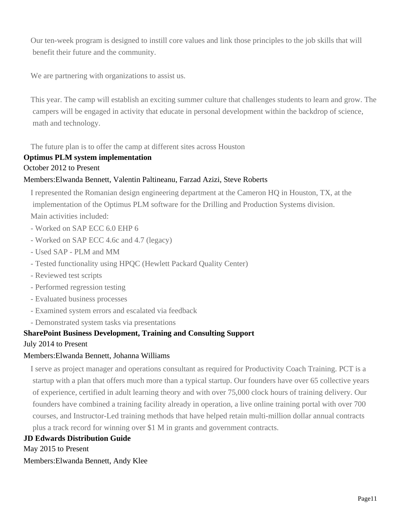Our ten-week program is designed to instill core values and link those principles to the job skills that will benefit their future and the community.

We are partnering with organizations to assist us.

This year. The camp will establish an exciting summer culture that challenges students to learn and grow. The campers will be engaged in activity that educate in personal development within the backdrop of science, math and technology.

The future plan is to offer the camp at different sites across Houston

## **Optimus PLM system implementation**

#### October 2012 to Present

#### Members:Elwanda Bennett, Valentin Paltineanu, Farzad Azizi, Steve Roberts

I represented the Romanian design engineering department at the Cameron HQ in Houston, TX, at the implementation of the Optimus PLM software for the Drilling and Production Systems division. Main activities included:

- Worked on SAP ECC 6.0 EHP 6
- Worked on SAP ECC 4.6c and 4.7 (legacy)
- Used SAP PLM and MM
- Tested functionality using HPQC (Hewlett Packard Quality Center)
- Reviewed test scripts
- Performed regression testing
- Evaluated business processes
- Examined system errors and escalated via feedback
- Demonstrated system tasks via presentations

#### **SharePoint Business Development, Training and Consulting Support**

#### July 2014 to Present

#### Members:Elwanda Bennett, Johanna Williams

I serve as project manager and operations consultant as required for Productivity Coach Training. PCT is a startup with a plan that offers much more than a typical startup. Our founders have over 65 collective years of experience, certified in adult learning theory and with over 75,000 clock hours of training delivery. Our founders have combined a training facility already in operation, a live online training portal with over 700 courses, and Instructor-Led training methods that have helped retain multi-million dollar annual contracts plus a track record for winning over \$1 M in grants and government contracts.

#### **JD Edwards Distribution Guide**

May 2015 to Present

Members:Elwanda Bennett, Andy Klee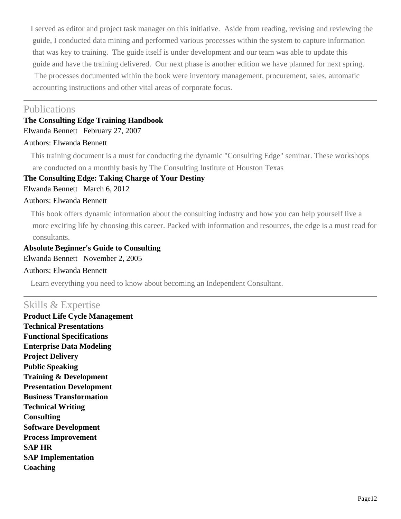I served as editor and project task manager on this initiative. Aside from reading, revising and reviewing the guide, I conducted data mining and performed various processes within the system to capture information that was key to training. The guide itself is under development and our team was able to update this guide and have the training delivered. Our next phase is another edition we have planned for next spring. The processes documented within the book were inventory management, procurement, sales, automatic accounting instructions and other vital areas of corporate focus.

# Publications

# **The Consulting Edge Training Handbook**

Elwanda Bennett February 27, 2007

# Authors: Elwanda Bennett

This training document is a must for conducting the dynamic "Consulting Edge" seminar. These workshops are conducted on a monthly basis by The Consulting Institute of Houston Texas

## **The Consulting Edge: Taking Charge of Your Destiny**

Elwanda Bennett March 6, 2012

#### Authors: Elwanda Bennett

This book offers dynamic information about the consulting industry and how you can help yourself live a more exciting life by choosing this career. Packed with information and resources, the edge is a must read for consultants.

**Absolute Beginner's Guide to Consulting** Elwanda Bennett November 2, 2005 Authors: Elwanda Bennett

Learn everything you need to know about becoming an Independent Consultant.

# Skills & Expertise

**Product Life Cycle Management Technical Presentations Functional Specifications Enterprise Data Modeling Project Delivery Public Speaking Training & Development Presentation Development Business Transformation Technical Writing Consulting Software Development Process Improvement SAP HR SAP Implementation Coaching**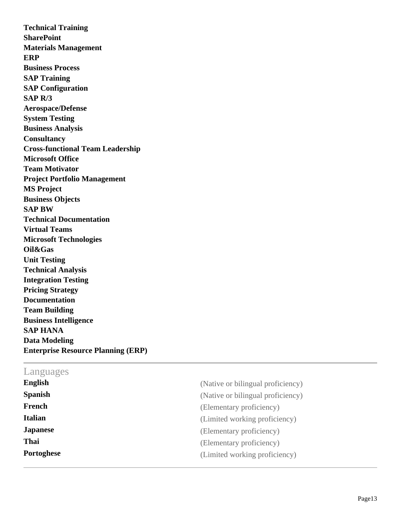**Technical Training SharePoint Materials Management ERP Business Process SAP Training SAP Configuration SAP R/3 Aerospace/Defense System Testing Business Analysis Consultancy Cross-functional Team Leadership Microsoft Office Team Motivator Project Portfolio Management MS Project Business Objects SAP BW Technical Documentation Virtual Teams Microsoft Technologies Oil&Gas Unit Testing Technical Analysis Integration Testing Pricing Strategy Documentation Team Building Business Intelligence SAP HANA Data Modeling Enterprise Resource Planning (ERP)**

## Languages

| <b>English</b>  | (Native or bilingual proficiency) |
|-----------------|-----------------------------------|
| <b>Spanish</b>  | (Native or bilingual proficiency) |
| French          | (Elementary proficiency)          |
| <b>Italian</b>  | (Limited working proficiency)     |
| <b>Japanese</b> | (Elementary proficiency)          |
| <b>Thai</b>     | (Elementary proficiency)          |
| Portoghese      | (Limited working proficiency)     |
|                 |                                   |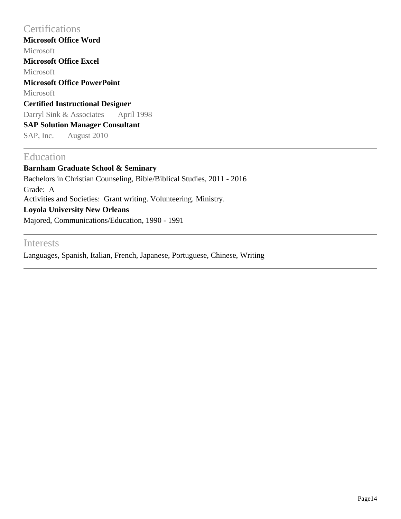# **Certifications**

**Microsoft Office Word** Microsoft **Microsoft Office Excel** Microsoft **Microsoft Office PowerPoint** Microsoft **Certified Instructional Designer** Darryl Sink & Associates April 1998 **SAP Solution Manager Consultant** SAP, Inc. August 2010

# Education

**Barnham Graduate School & Seminary** Bachelors in Christian Counseling, Bible/Biblical Studies, 2011 - 2016 Grade: A Activities and Societies: Grant writing. Volunteering. Ministry. **Loyola University New Orleans** Majored, Communications/Education, 1990 - 1991

# Interests

Languages, Spanish, Italian, French, Japanese, Portuguese, Chinese, Writing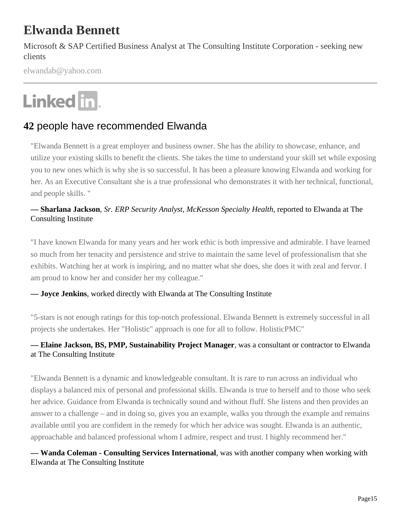# **Elwanda Bennett**

Microsoft & SAP Certified Business Analyst at The Consulting Institute Corporation - seeking new clients

elwandab@yahoo.com

# Linked in.

# **42** people have recommended Elwanda

"Elwanda Bennett is a great employer and business owner. She has the ability to showcase, enhance, and utilize your existing skills to benefit the clients. She takes the time to understand your skill set while exposing you to new ones which is why she is so successful. It has been a pleasure knowing Elwanda and working for her. As an Executive Consultant she is a true professional who demonstrates it with her technical, functional, and people skills. "

# **— Sharlana Jackson***, Sr. ERP Security Analyst, McKesson Specialty Health*, reported to Elwanda at The Consulting Institute

"I have known Elwanda for many years and her work ethic is both impressive and admirable. I have learned so much from her tenacity and persistence and strive to maintain the same level of professionalism that she exhibits. Watching her at work is inspiring, and no matter what she does, she does it with zeal and fervor. I am proud to know her and consider her my colleague."

#### **— Joyce Jenkins**, worked directly with Elwanda at The Consulting Institute

"5-stars is not enough ratings for this top-notch professional. Elwanda Bennett is extremely successful in all projects she undertakes. Her "Holistic" approach is one for all to follow. HolisticPMC"

# **— Elaine Jackson, BS, PMP, Sustainability Project Manager**, was a consultant or contractor to Elwanda at The Consulting Institute

"Elwanda Bennett is a dynamic and knowledgeable consultant. It is rare to run across an individual who displays a balanced mix of personal and professional skills. Elwanda is true to herself and to those who seek her advice. Guidance from Elwanda is technically sound and without fluff. She listens and then provides an answer to a challenge – and in doing so, gives you an example, walks you through the example and remains available until you are confident in the remedy for which her advice was sought. Elwanda is an authentic, approachable and balanced professional whom I admire, respect and trust. I highly recommend her."

**— Wanda Coleman - Consulting Services International**, was with another company when working with Elwanda at The Consulting Institute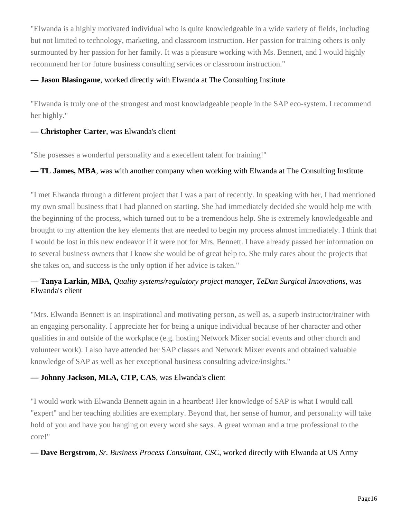"Elwanda is a highly motivated individual who is quite knowledgeable in a wide variety of fields, including but not limited to technology, marketing, and classroom instruction. Her passion for training others is only surmounted by her passion for her family. It was a pleasure working with Ms. Bennett, and I would highly recommend her for future business consulting services or classroom instruction."

#### **— Jason Blasingame**, worked directly with Elwanda at The Consulting Institute

"Elwanda is truly one of the strongest and most knowladgeable people in the SAP eco-system. I recommend her highly."

#### **— Christopher Carter**, was Elwanda's client

"She posesses a wonderful personality and a execellent talent for training!"

#### **— TL James, MBA**, was with another company when working with Elwanda at The Consulting Institute

"I met Elwanda through a different project that I was a part of recently. In speaking with her, I had mentioned my own small business that I had planned on starting. She had immediately decided she would help me with the beginning of the process, which turned out to be a tremendous help. She is extremely knowledgeable and brought to my attention the key elements that are needed to begin my process almost immediately. I think that I would be lost in this new endeavor if it were not for Mrs. Bennett. I have already passed her information on to several business owners that I know she would be of great help to. She truly cares about the projects that she takes on, and success is the only option if her advice is taken."

# **— Tanya Larkin, MBA***, Quality systems/regulatory project manager, TeDan Surgical Innovations*, was Elwanda's client

"Mrs. Elwanda Bennett is an inspirational and motivating person, as well as, a superb instructor/trainer with an engaging personality. I appreciate her for being a unique individual because of her character and other qualities in and outside of the workplace (e.g. hosting Network Mixer social events and other church and volunteer work). I also have attended her SAP classes and Network Mixer events and obtained valuable knowledge of SAP as well as her exceptional business consulting advice/insights."

#### **— Johnny Jackson, MLA, CTP, CAS**, was Elwanda's client

"I would work with Elwanda Bennett again in a heartbeat! Her knowledge of SAP is what I would call "expert" and her teaching abilities are exemplary. Beyond that, her sense of humor, and personality will take hold of you and have you hanging on every word she says. A great woman and a true professional to the core!"

#### **— Dave Bergstrom***, Sr. Business Process Consultant, CSC*, worked directly with Elwanda at US Army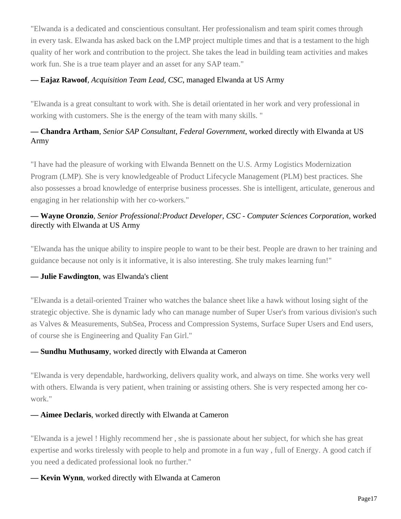"Elwanda is a dedicated and conscientious consultant. Her professionalism and team spirit comes through in every task. Elwanda has asked back on the LMP project multiple times and that is a testament to the high quality of her work and contribution to the project. She takes the lead in building team activities and makes work fun. She is a true team player and an asset for any SAP team."

#### **— Eajaz Rawoof***, Acquisition Team Lead, CSC*, managed Elwanda at US Army

"Elwanda is a great consultant to work with. She is detail orientated in her work and very professional in working with customers. She is the energy of the team with many skills. "

# **— Chandra Artham***, Senior SAP Consultant, Federal Government*, worked directly with Elwanda at US Army

"I have had the pleasure of working with Elwanda Bennett on the U.S. Army Logistics Modernization Program (LMP). She is very knowledgeable of Product Lifecycle Management (PLM) best practices. She also possesses a broad knowledge of enterprise business processes. She is intelligent, articulate, generous and engaging in her relationship with her co-workers."

## **— Wayne Oronzio***, Senior Professional:Product Developer, CSC - Computer Sciences Corporation*, worked directly with Elwanda at US Army

"Elwanda has the unique ability to inspire people to want to be their best. People are drawn to her training and guidance because not only is it informative, it is also interesting. She truly makes learning fun!"

#### **— Julie Fawdington**, was Elwanda's client

"Elwanda is a detail-oriented Trainer who watches the balance sheet like a hawk without losing sight of the strategic objective. She is dynamic lady who can manage number of Super User's from various division's such as Valves & Measurements, SubSea, Process and Compression Systems, Surface Super Users and End users, of course she is Engineering and Quality Fan Girl."

#### **— Sundhu Muthusamy**, worked directly with Elwanda at Cameron

"Elwanda is very dependable, hardworking, delivers quality work, and always on time. She works very well with others. Elwanda is very patient, when training or assisting others. She is very respected among her cowork."

#### **— Aimee Declaris**, worked directly with Elwanda at Cameron

"Elwanda is a jewel ! Highly recommend her , she is passionate about her subject, for which she has great expertise and works tirelessly with people to help and promote in a fun way , full of Energy. A good catch if you need a dedicated professional look no further."

#### **— Kevin Wynn**, worked directly with Elwanda at Cameron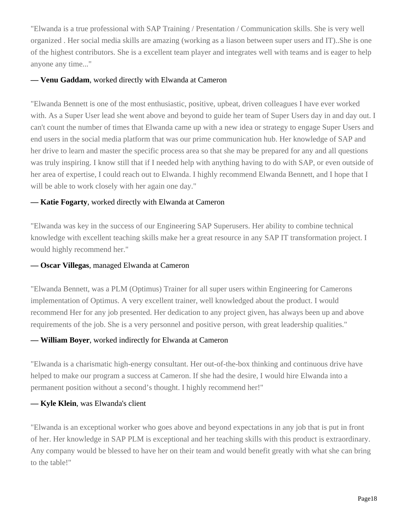"Elwanda is a true professional with SAP Training / Presentation / Communication skills. She is very well organized . Her social media skills are amazing (working as a liason between super users and IT)..She is one of the highest contributors. She is a excellent team player and integrates well with teams and is eager to help anyone any time..."

#### **— Venu Gaddam**, worked directly with Elwanda at Cameron

"Elwanda Bennett is one of the most enthusiastic, positive, upbeat, driven colleagues I have ever worked with. As a Super User lead she went above and beyond to guide her team of Super Users day in and day out. I can't count the number of times that Elwanda came up with a new idea or strategy to engage Super Users and end users in the social media platform that was our prime communication hub. Her knowledge of SAP and her drive to learn and master the specific process area so that she may be prepared for any and all questions was truly inspiring. I know still that if I needed help with anything having to do with SAP, or even outside of her area of expertise, I could reach out to Elwanda. I highly recommend Elwanda Bennett, and I hope that I will be able to work closely with her again one day."

#### **— Katie Fogarty**, worked directly with Elwanda at Cameron

"Elwanda was key in the success of our Engineering SAP Superusers. Her ability to combine technical knowledge with excellent teaching skills make her a great resource in any SAP IT transformation project. I would highly recommend her."

#### **— Oscar Villegas**, managed Elwanda at Cameron

"Elwanda Bennett, was a PLM (Optimus) Trainer for all super users within Engineering for Camerons implementation of Optimus. A very excellent trainer, well knowledged about the product. I would recommend Her for any job presented. Her dedication to any project given, has always been up and above requirements of the job. She is a very personnel and positive person, with great leadership qualities."

#### **— William Boyer**, worked indirectly for Elwanda at Cameron

"Elwanda is a charismatic high-energy consultant. Her out-of-the-box thinking and continuous drive have helped to make our program a success at Cameron. If she had the desire, I would hire Elwanda into a permanent position without a second's thought. I highly recommend her!"

#### **— Kyle Klein**, was Elwanda's client

"Elwanda is an exceptional worker who goes above and beyond expectations in any job that is put in front of her. Her knowledge in SAP PLM is exceptional and her teaching skills with this product is extraordinary. Any company would be blessed to have her on their team and would benefit greatly with what she can bring to the table!"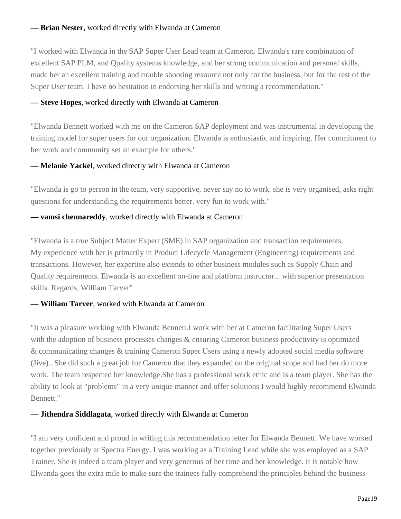#### **— Brian Nester**, worked directly with Elwanda at Cameron

"I worked with Elwanda in the SAP Super User Lead team at Cameron. Elwanda's rare combination of excellent SAP PLM, and Quality systems knowledge, and her strong communication and personal skills, made her an excellent training and trouble shooting resource not only for the business, but for the rest of the Super User team. I have no hesitation in endorsing her skills and writing a recommendation."

#### **— Steve Hopes**, worked directly with Elwanda at Cameron

"Elwanda Bennett worked with me on the Cameron SAP deployment and was instrumental in developing the training model for super users for our organization. Elwanda is enthusiastic and inspiring. Her commitment to her work and community set an example for others."

#### **— Melanie Yackel**, worked directly with Elwanda at Cameron

"Elwanda is go to person in the team, very supportive, never say no to work. she is very organised, asks right questions for understanding the requirements better. very fun to work with."

#### **— vamsi chennareddy**, worked directly with Elwanda at Cameron

"Elwanda is a true Subject Matter Expert (SME) in SAP organization and transaction requirements. My experience with her is primarily in Product Lifecycle Management (Engineering) requirements and transactions. However, her expertise also extends to other business modules such as Supply Chain and Quality requirements. Elwanda is an excellent on-line and platform instructor... with superior presentation skills. Regards, William Tarver"

#### **— William Tarver**, worked with Elwanda at Cameron

"It was a pleasure working with Elwanda Bennett.I work with her at Cameron facilitating Super Users with the adoption of business processes changes  $\&$  ensuring Cameron business productivity is optimized & communicating changes & training Cameron Super Users using a newly adopted social media software (Jive).. She did such a great job for Cameron that they expanded on the original scope and had her do more work. The team respected her knowledge.She has a professional work ethic and is a team player. She has the ability to look at "problems" in a very unique manner and offer solutions I would highly recommend Elwanda Bennett."

#### **— Jithendra Siddlagata**, worked directly with Elwanda at Cameron

"I am very confident and proud in writing this recommendation letter for Elwanda Bennett. We have worked together previously at Spectra Energy. I was working as a Training Lead while she was employed as a SAP Trainer. She is indeed a team player and very generous of her time and her knowledge. It is notable how Elwanda goes the extra mile to make sure the trainees fully comprehend the principles behind the business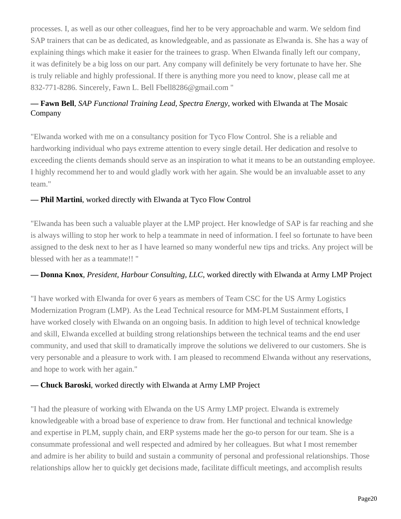processes. I, as well as our other colleagues, find her to be very approachable and warm. We seldom find SAP trainers that can be as dedicated, as knowledgeable, and as passionate as Elwanda is. She has a way of explaining things which make it easier for the trainees to grasp. When Elwanda finally left our company, it was definitely be a big loss on our part. Any company will definitely be very fortunate to have her. She is truly reliable and highly professional. If there is anything more you need to know, please call me at 832-771-8286. Sincerely, Fawn L. Bell Fbell8286@gmail.com "

# **— Fawn Bell***, SAP Functional Training Lead, Spectra Energy*, worked with Elwanda at The Mosaic Company

"Elwanda worked with me on a consultancy position for Tyco Flow Control. She is a reliable and hardworking individual who pays extreme attention to every single detail. Her dedication and resolve to exceeding the clients demands should serve as an inspiration to what it means to be an outstanding employee. I highly recommend her to and would gladly work with her again. She would be an invaluable asset to any team."

## **— Phil Martini**, worked directly with Elwanda at Tyco Flow Control

"Elwanda has been such a valuable player at the LMP project. Her knowledge of SAP is far reaching and she is always willing to stop her work to help a teammate in need of information. I feel so fortunate to have been assigned to the desk next to her as I have learned so many wonderful new tips and tricks. Any project will be blessed with her as a teammate!! "

#### **— Donna Knox***, President, Harbour Consulting, LLC*, worked directly with Elwanda at Army LMP Project

"I have worked with Elwanda for over 6 years as members of Team CSC for the US Army Logistics Modernization Program (LMP). As the Lead Technical resource for MM-PLM Sustainment efforts, I have worked closely with Elwanda on an ongoing basis. In addition to high level of technical knowledge and skill, Elwanda excelled at building strong relationships between the technical teams and the end user community, and used that skill to dramatically improve the solutions we delivered to our customers. She is very personable and a pleasure to work with. I am pleased to recommend Elwanda without any reservations, and hope to work with her again."

#### **— Chuck Baroski**, worked directly with Elwanda at Army LMP Project

"I had the pleasure of working with Elwanda on the US Army LMP project. Elwanda is extremely knowledgeable with a broad base of experience to draw from. Her functional and technical knowledge and expertise in PLM, supply chain, and ERP systems made her the go-to person for our team. She is a consummate professional and well respected and admired by her colleagues. But what I most remember and admire is her ability to build and sustain a community of personal and professional relationships. Those relationships allow her to quickly get decisions made, facilitate difficult meetings, and accomplish results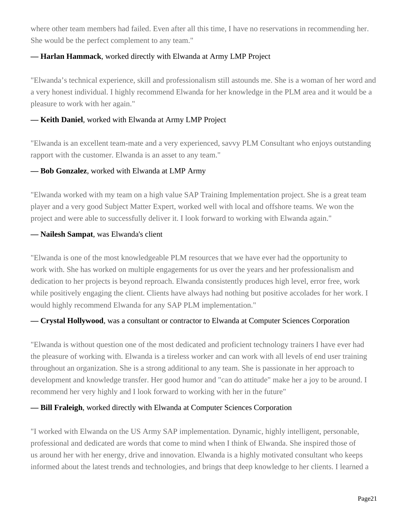where other team members had failed. Even after all this time, I have no reservations in recommending her. She would be the perfect complement to any team."

#### **— Harlan Hammack**, worked directly with Elwanda at Army LMP Project

"Elwanda's technical experience, skill and professionalism still astounds me. She is a woman of her word and a very honest individual. I highly recommend Elwanda for her knowledge in the PLM area and it would be a pleasure to work with her again."

#### **— Keith Daniel**, worked with Elwanda at Army LMP Project

"Elwanda is an excellent team-mate and a very experienced, savvy PLM Consultant who enjoys outstanding rapport with the customer. Elwanda is an asset to any team."

## **— Bob Gonzalez**, worked with Elwanda at LMP Army

"Elwanda worked with my team on a high value SAP Training Implementation project. She is a great team player and a very good Subject Matter Expert, worked well with local and offshore teams. We won the project and were able to successfully deliver it. I look forward to working with Elwanda again."

## **— Nailesh Sampat**, was Elwanda's client

"Elwanda is one of the most knowledgeable PLM resources that we have ever had the opportunity to work with. She has worked on multiple engagements for us over the years and her professionalism and dedication to her projects is beyond reproach. Elwanda consistently produces high level, error free, work while positively engaging the client. Clients have always had nothing but positive accolades for her work. I would highly recommend Elwanda for any SAP PLM implementation."

# **— Crystal Hollywood**, was a consultant or contractor to Elwanda at Computer Sciences Corporation

"Elwanda is without question one of the most dedicated and proficient technology trainers I have ever had the pleasure of working with. Elwanda is a tireless worker and can work with all levels of end user training throughout an organization. She is a strong additional to any team. She is passionate in her approach to development and knowledge transfer. Her good humor and "can do attitude" make her a joy to be around. I recommend her very highly and I look forward to working with her in the future"

# **— Bill Fraleigh**, worked directly with Elwanda at Computer Sciences Corporation

"I worked with Elwanda on the US Army SAP implementation. Dynamic, highly intelligent, personable, professional and dedicated are words that come to mind when I think of Elwanda. She inspired those of us around her with her energy, drive and innovation. Elwanda is a highly motivated consultant who keeps informed about the latest trends and technologies, and brings that deep knowledge to her clients. I learned a